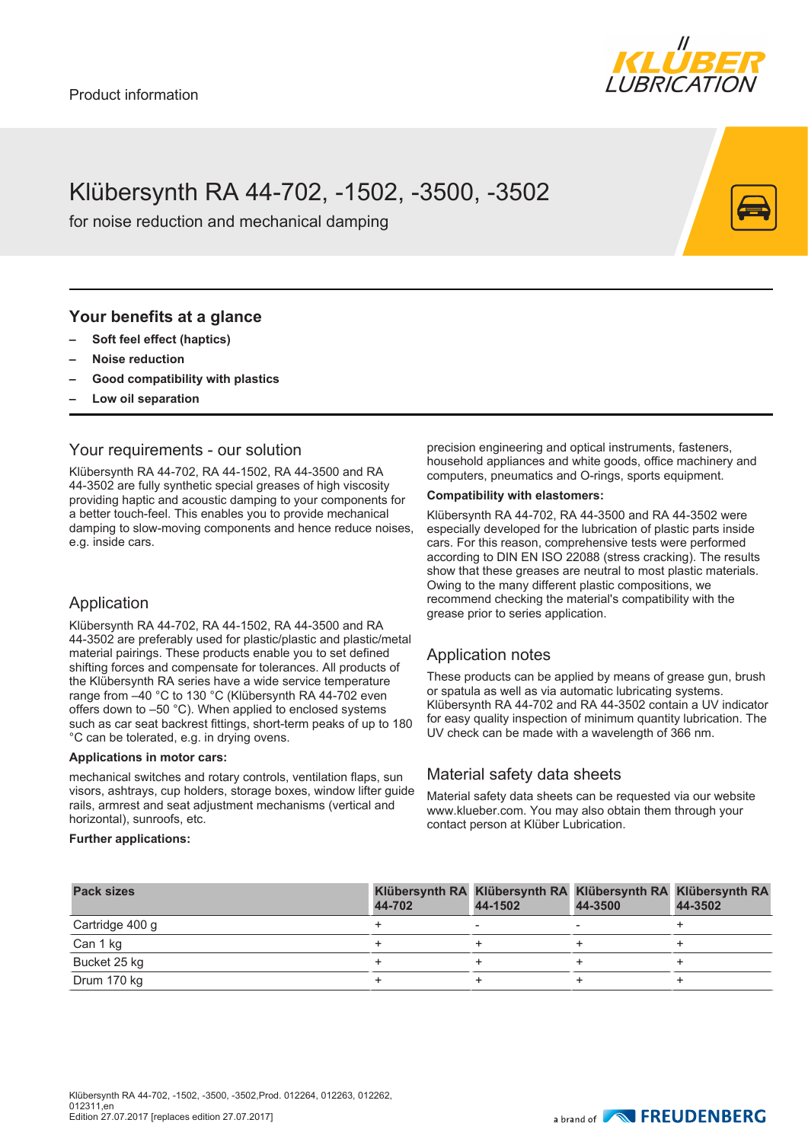

## Klübersynth RA 44-702, -1502, -3500, -3502

for noise reduction and mechanical damping

## **Your benefits at a glance**

- **– Soft feel effect (haptics)**
- **– Noise reduction**
- **– Good compatibility with plastics**
- **– Low oil separation**

## Your requirements - our solution

Klübersynth RA 44-702, RA 44-1502, RA 44-3500 and RA 44-3502 are fully synthetic special greases of high viscosity providing haptic and acoustic damping to your components for a better touch-feel. This enables you to provide mechanical damping to slow-moving components and hence reduce noises, e.g. inside cars.

## Application

Klübersynth RA 44-702, RA 44-1502, RA 44-3500 and RA 44-3502 are preferably used for plastic/plastic and plastic/metal material pairings. These products enable you to set defined shifting forces and compensate for tolerances. All products of the Klübersynth RA series have a wide service temperature range from –40 °C to 130 °C (Klübersynth RA 44-702 even offers down to –50 °C). When applied to enclosed systems such as car seat backrest fittings, short-term peaks of up to 180 °C can be tolerated, e.g. in drying ovens.

#### **Applications in motor cars:**

mechanical switches and rotary controls, ventilation flaps, sun visors, ashtrays, cup holders, storage boxes, window lifter guide rails, armrest and seat adjustment mechanisms (vertical and horizontal), sunroofs, etc.

#### **Further applications:**

precision engineering and optical instruments, fasteners, household appliances and white goods, office machinery and computers, pneumatics and O-rings, sports equipment.

#### **Compatibility with elastomers:**

Klübersynth RA 44-702, RA 44-3500 and RA 44-3502 were especially developed for the lubrication of plastic parts inside cars. For this reason, comprehensive tests were performed according to DIN EN ISO 22088 (stress cracking). The results show that these greases are neutral to most plastic materials. Owing to the many different plastic compositions, we recommend checking the material's compatibility with the grease prior to series application.

## Application notes

These products can be applied by means of grease gun, brush or spatula as well as via automatic lubricating systems. Klübersynth RA 44-702 and RA 44-3502 contain a UV indicator for easy quality inspection of minimum quantity lubrication. The UV check can be made with a wavelength of 366 nm.

## Material safety data sheets

Material safety data sheets can be requested via our website www.klueber.com. You may also obtain them through your contact person at Klüber Lubrication.

| <b>Pack sizes</b> | 44-702 | 44-1502                  | 44-3500 | Klübersynth RA Klübersynth RA Klübersynth RA Klübersynth RA<br>44-3502 |
|-------------------|--------|--------------------------|---------|------------------------------------------------------------------------|
| Cartridge 400 g   |        | $\overline{\phantom{0}}$ |         |                                                                        |
| Can 1 kg          |        |                          |         |                                                                        |
| Bucket 25 kg      |        |                          |         |                                                                        |
| Drum 170 kg       |        |                          |         |                                                                        |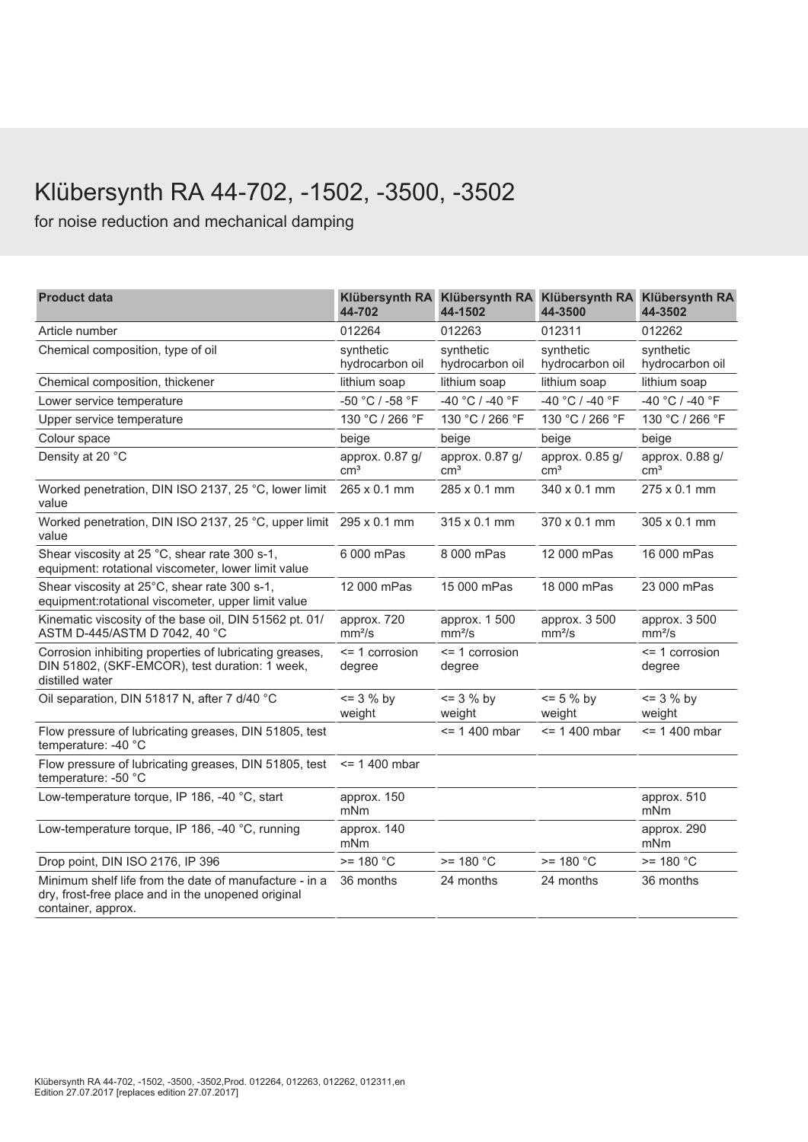# Klübersynth RA 44-702, -1502, -3500, -3502

for noise reduction and mechanical damping

| <b>Product data</b>                                                                                                                | <b>Klübersynth RA</b><br>44-702    | <b>Klübersynth RA</b><br>44-1502    | <b>Klübersynth RA</b><br>44-3500    | <b>Klübersynth RA</b><br>44-3502    |  |  |  |
|------------------------------------------------------------------------------------------------------------------------------------|------------------------------------|-------------------------------------|-------------------------------------|-------------------------------------|--|--|--|
| Article number                                                                                                                     | 012264                             | 012263                              | 012311                              | 012262                              |  |  |  |
| Chemical composition, type of oil                                                                                                  | synthetic<br>hydrocarbon oil       | synthetic<br>hydrocarbon oil        | synthetic<br>hydrocarbon oil        | synthetic<br>hydrocarbon oil        |  |  |  |
| Chemical composition, thickener                                                                                                    | lithium soap                       | lithium soap                        | lithium soap                        | lithium soap                        |  |  |  |
| Lower service temperature                                                                                                          | -50 °C / -58 °F                    | -40 °C / -40 °F                     | -40 °C / -40 °F                     | -40 °C / -40 °F                     |  |  |  |
| Upper service temperature                                                                                                          | 130 °C / 266 °F                    | 130 °C / 266 °F                     | 130 °C / 266 °F                     | 130 °C / 266 °F                     |  |  |  |
| Colour space                                                                                                                       | beige                              | beige                               | beige                               | beige                               |  |  |  |
| Density at 20 °C                                                                                                                   | approx. 0.87 g/<br>cm <sup>3</sup> | approx. 0.87 g/<br>cm <sup>3</sup>  | approx. 0.85 g/<br>cm <sup>3</sup>  | approx. 0.88 g/<br>cm <sup>3</sup>  |  |  |  |
| Worked penetration, DIN ISO 2137, 25 °C, lower limit<br>value                                                                      | $265 \times 0.1$ mm                | 285 x 0.1 mm                        | 340 x 0.1 mm                        | $275 \times 0.1$ mm                 |  |  |  |
| Worked penetration, DIN ISO 2137, 25 °C, upper limit 295 x 0.1 mm<br>value                                                         |                                    | $315 \times 0.1$ mm                 | 370 x 0.1 mm                        | 305 x 0.1 mm                        |  |  |  |
| Shear viscosity at 25 °C, shear rate 300 s-1,<br>equipment: rotational viscometer, lower limit value                               | 6 000 mPas                         | 8 000 mPas                          | 12 000 mPas                         | 16 000 mPas                         |  |  |  |
| Shear viscosity at 25°C, shear rate 300 s-1,<br>equipment:rotational viscometer, upper limit value                                 | 12 000 mPas                        | 15 000 mPas                         | 18 000 mPas                         | 23 000 mPas                         |  |  |  |
| Kinematic viscosity of the base oil, DIN 51562 pt. 01/<br>ASTM D-445/ASTM D 7042, 40 °C                                            | approx. 720<br>mm <sup>2</sup> /s  | approx. 1 500<br>mm <sup>2</sup> /s | approx. 3 500<br>mm <sup>2</sup> /s | approx. 3 500<br>mm <sup>2</sup> /s |  |  |  |
| Corrosion inhibiting properties of lubricating greases,<br>DIN 51802, (SKF-EMCOR), test duration: 1 week,<br>distilled water       | $= 1$ corrosion<br>degree          | <= 1 corrosion<br>degree            |                                     | <= 1 corrosion<br>degree            |  |  |  |
| Oil separation, DIN 51817 N, after 7 d/40 °C                                                                                       | $= 3 \%$ by<br>weight              | $= 3 \%$ by<br>weight               | $= 5 \%$ by<br>weight               | $= 3 \%$ by<br>weight               |  |  |  |
| Flow pressure of lubricating greases, DIN 51805, test<br>temperature: -40 °C                                                       |                                    | $= 1400$ mbar                       | $= 1400$ mbar                       | $= 1400$ mbar                       |  |  |  |
| Flow pressure of lubricating greases, DIN 51805, test<br>temperature: -50 °C                                                       | $= 1400$ mbar                      |                                     |                                     |                                     |  |  |  |
| Low-temperature torque, IP 186, -40 °C, start                                                                                      | approx. 150<br>mNm                 |                                     |                                     | approx. 510<br>mNm                  |  |  |  |
| Low-temperature torque, IP 186, -40 °C, running                                                                                    | approx. 140<br>mNm                 |                                     |                                     | approx. 290<br>mNm                  |  |  |  |
| Drop point, DIN ISO 2176, IP 396                                                                                                   | $>= 180 °C$                        | $>= 180 °C$                         | $>= 180 °C$                         | $>= 180 °C$                         |  |  |  |
| Minimum shelf life from the date of manufacture - in a<br>dry, frost-free place and in the unopened original<br>container, approx. | 36 months                          | 24 months                           | 24 months                           | 36 months                           |  |  |  |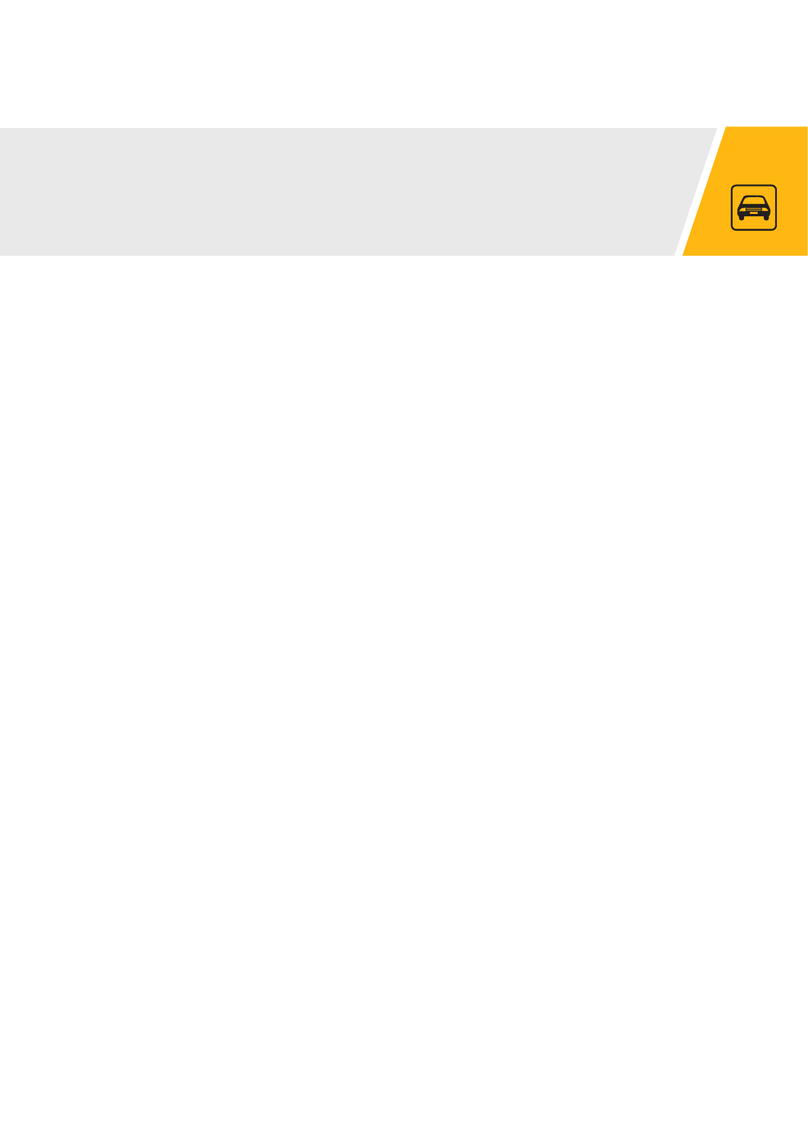